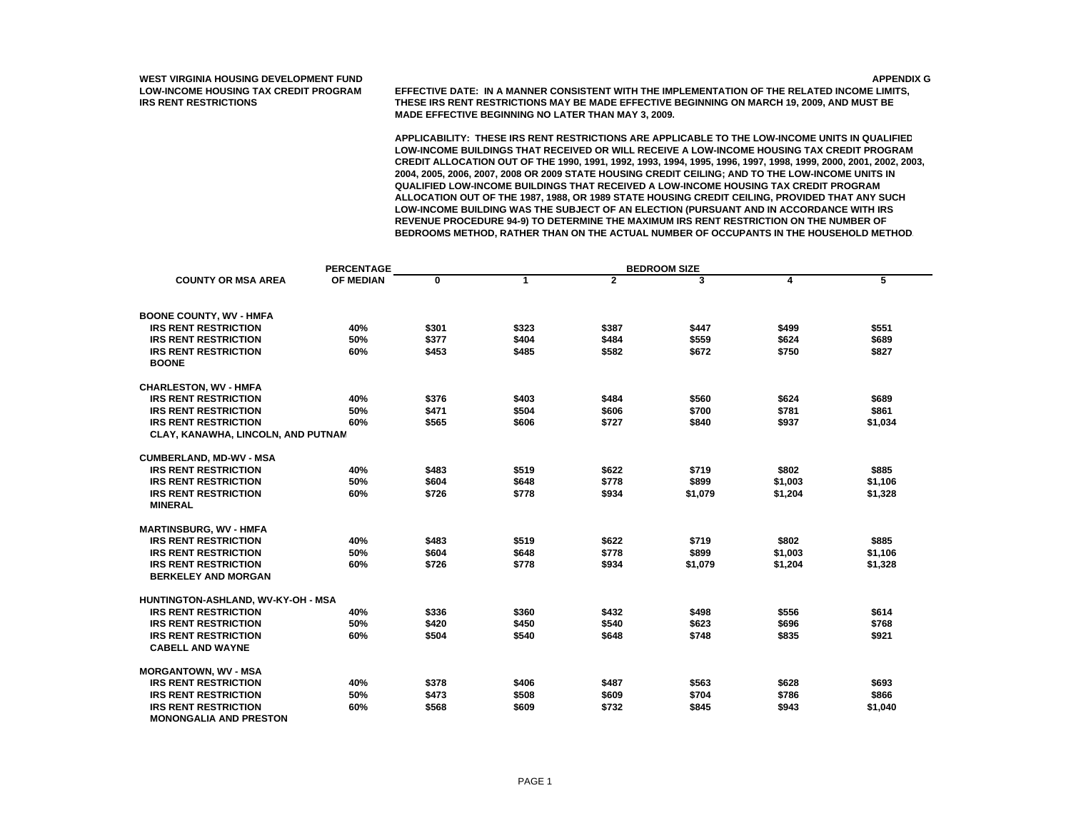**LOW-INCOME HOUSING TAX CREDIT PROGRAM EFFECTIVE DATE: IN A MANNER CONSISTENT WITH THE IMPLEMENTATION OF THE RELATED INCOME LIMITS, IRS RENT RESTRICTIONS THESE IRS RENT RESTRICTIONS MAY BE MADE EFFECTIVE BEGINNING ON MARCH 19, 2009, AND MUST BE MADE EFFECTIVE BEGINNING NO LATER THAN MAY 3, 2009.**

**APPLICABILITY: THESE IRS RENT RESTRICTIONS ARE APPLICABLE TO THE LOW-INCOME UNITS IN QUALIFIED LOW-INCOME BUILDINGS THAT RECEIVED OR WILL RECEIVE A LOW-INCOME HOUSING TAX CREDIT PROGRAM CREDIT ALLOCATION OUT OF THE 1990, 1991, 1992, 1993, 1994, 1995, 1996, 1997, 1998, 1999, 2000, 2001, 2002, 2003, 2004, 2005, 2006, 2007, 2008 OR 2009 STATE HOUSING CREDIT CEILING; AND TO THE LOW-INCOME UNITS IN QUALIFIED LOW-INCOME BUILDINGS THAT RECEIVED A LOW-INCOME HOUSING TAX CREDIT PROGRAM ALLOCATION OUT OF THE 1987, 1988, OR 1989 STATE HOUSING CREDIT CEILING, PROVIDED THAT ANY SUCH LOW-INCOME BUILDING WAS THE SUBJECT OF AN ELECTION (PURSUANT AND IN ACCORDANCE WITH IRS REVENUE PROCEDURE 94-9) TO DETERMINE THE MAXIMUM IRS RENT RESTRICTION ON THE NUMBER OF BEDROOMS METHOD, RATHER THAN ON THE ACTUAL NUMBER OF OCCUPANTS IN THE HOUSEHOLD METHOD.**

|                                    | <b>PERCENTAGE</b> |          |       |                |         |         |         |
|------------------------------------|-------------------|----------|-------|----------------|---------|---------|---------|
| <b>COUNTY OR MSA AREA</b>          | <b>OF MEDIAN</b>  | $\bf{0}$ | 1     | $\overline{2}$ | 3       | 4       | 5       |
| <b>BOONE COUNTY, WV - HMFA</b>     |                   |          |       |                |         |         |         |
| <b>IRS RENT RESTRICTION</b>        | 40%               | \$301    | \$323 | \$387          | \$447   | \$499   | \$551   |
| <b>IRS RENT RESTRICTION</b>        | 50%               | \$377    | \$404 | \$484          | \$559   | \$624   | \$689   |
| <b>IRS RENT RESTRICTION</b>        | 60%               | \$453    | \$485 | \$582          | \$672   | \$750   | \$827   |
| <b>BOONE</b>                       |                   |          |       |                |         |         |         |
| <b>CHARLESTON, WV - HMFA</b>       |                   |          |       |                |         |         |         |
| <b>IRS RENT RESTRICTION</b>        | 40%               | \$376    | \$403 | \$484          | \$560   | \$624   | \$689   |
| <b>IRS RENT RESTRICTION</b>        | 50%               | \$471    | \$504 | \$606          | \$700   | \$781   | \$861   |
| <b>IRS RENT RESTRICTION</b>        | 60%               | \$565    | \$606 | \$727          | \$840   | \$937   | \$1,034 |
| CLAY, KANAWHA, LINCOLN, AND PUTNAM |                   |          |       |                |         |         |         |
| <b>CUMBERLAND, MD-WV - MSA</b>     |                   |          |       |                |         |         |         |
| <b>IRS RENT RESTRICTION</b>        | 40%               | \$483    | \$519 | \$622          | \$719   | \$802   | \$885   |
| <b>IRS RENT RESTRICTION</b>        | 50%               | \$604    | \$648 | \$778          | \$899   | \$1,003 | \$1,106 |
| <b>IRS RENT RESTRICTION</b>        | 60%               | \$726    | \$778 | \$934          | \$1,079 | \$1,204 | \$1,328 |
| <b>MINERAL</b>                     |                   |          |       |                |         |         |         |
| <b>MARTINSBURG, WV - HMFA</b>      |                   |          |       |                |         |         |         |
| <b>IRS RENT RESTRICTION</b>        | 40%               | \$483    | \$519 | \$622          | \$719   | \$802   | \$885   |
| <b>IRS RENT RESTRICTION</b>        | 50%               | \$604    | \$648 | \$778          | \$899   | \$1,003 | \$1,106 |
| <b>IRS RENT RESTRICTION</b>        | 60%               | \$726    | \$778 | \$934          | \$1,079 | \$1,204 | \$1,328 |
| <b>BERKELEY AND MORGAN</b>         |                   |          |       |                |         |         |         |
| HUNTINGTON-ASHLAND, WV-KY-OH - MSA |                   |          |       |                |         |         |         |
| <b>IRS RENT RESTRICTION</b>        | 40%               | \$336    | \$360 | \$432          | \$498   | \$556   | \$614   |
| <b>IRS RENT RESTRICTION</b>        | 50%               | \$420    | \$450 | \$540          | \$623   | \$696   | \$768   |
| <b>IRS RENT RESTRICTION</b>        | 60%               | \$504    | \$540 | \$648          | \$748   | \$835   | \$921   |
| <b>CABELL AND WAYNE</b>            |                   |          |       |                |         |         |         |
| <b>MORGANTOWN, WV - MSA</b>        |                   |          |       |                |         |         |         |
| <b>IRS RENT RESTRICTION</b>        | 40%               | \$378    | \$406 | \$487          | \$563   | \$628   | \$693   |
| <b>IRS RENT RESTRICTION</b>        | 50%               | \$473    | \$508 | \$609          | \$704   | \$786   | \$866   |
| <b>IRS RENT RESTRICTION</b>        | 60%               | \$568    | \$609 | \$732          | \$845   | \$943   | \$1,040 |
| <b>MONONGALIA AND PRESTON</b>      |                   |          |       |                |         |         |         |

PAGE 1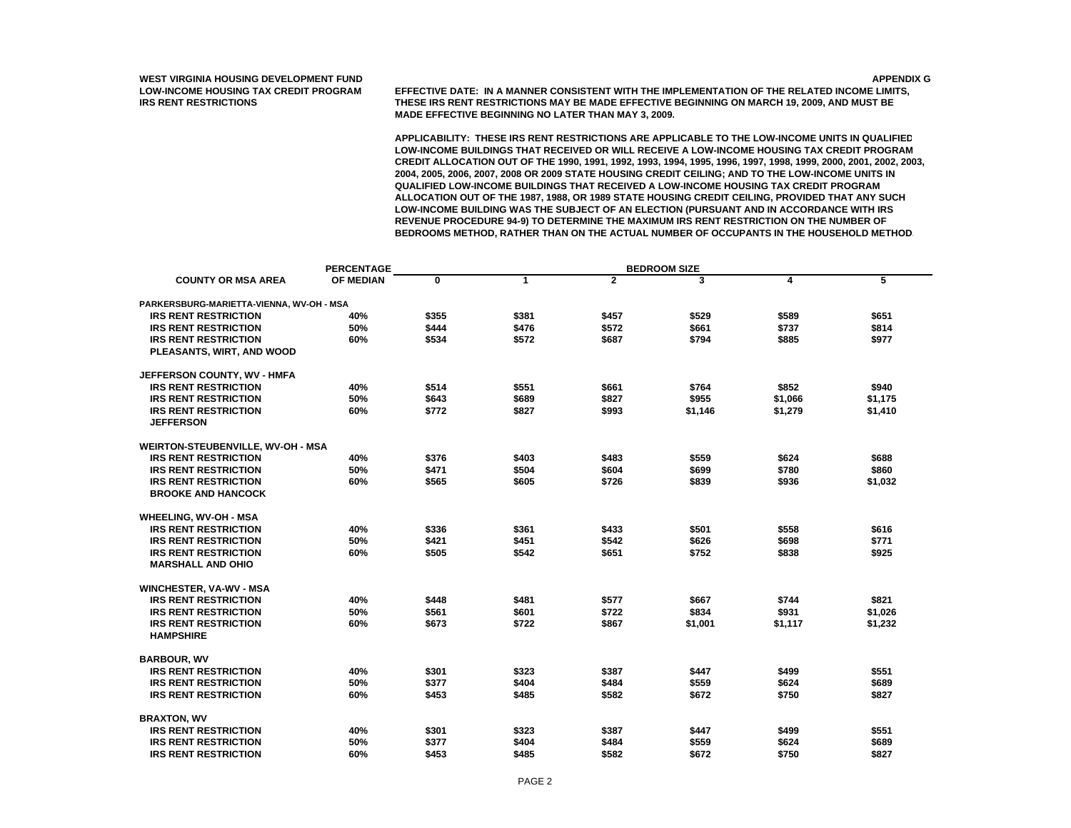**LOW-INCOME HOUSING TAX CREDIT PROGRAM EFFECTIVE DATE: IN A MANNER CONSISTENT WITH THE IMPLEMENTATION OF THE RELATED INCOME LIMITS, IRS RENT RESTRICTIONS THESE IRS RENT RESTRICTIONS MAY BE MADE EFFECTIVE BEGINNING ON MARCH 19, 2009, AND MUST BE MADE EFFECTIVE BEGINNING NO LATER THAN MAY 3, 2009.**

|                                          | <b>PERCENTAGE</b> |          |              |                | <b>BEDROOM SIZE</b> |         |         |  |  |
|------------------------------------------|-------------------|----------|--------------|----------------|---------------------|---------|---------|--|--|
| <b>COUNTY OR MSA AREA</b>                | OF MEDIAN         | $\bf{0}$ | $\mathbf{1}$ | $\overline{2}$ | 3                   | 4       | 5       |  |  |
| PARKERSBURG-MARIETTA-VIENNA, WV-OH - MSA |                   |          |              |                |                     |         |         |  |  |
| <b>IRS RENT RESTRICTION</b>              | 40%               | \$355    | \$381        | \$457          | \$529               | \$589   | \$651   |  |  |
| <b>IRS RENT RESTRICTION</b>              | 50%               | \$444    | \$476        | \$572          | \$661               | \$737   | \$814   |  |  |
| <b>IRS RENT RESTRICTION</b>              | 60%               | \$534    | \$572        | \$687          | \$794               | \$885   | \$977   |  |  |
| PLEASANTS, WIRT, AND WOOD                |                   |          |              |                |                     |         |         |  |  |
| JEFFERSON COUNTY, WV - HMFA              |                   |          |              |                |                     |         |         |  |  |
| <b>IRS RENT RESTRICTION</b>              | 40%               | \$514    | \$551        | \$661          | \$764               | \$852   | \$940   |  |  |
| <b>IRS RENT RESTRICTION</b>              | 50%               | \$643    | \$689        | \$827          | \$955               | \$1,066 | \$1.175 |  |  |
| <b>IRS RENT RESTRICTION</b>              | 60%               | \$772    | \$827        | \$993          | \$1,146             | \$1,279 | \$1,410 |  |  |
| <b>JEFFERSON</b>                         |                   |          |              |                |                     |         |         |  |  |
| WEIRTON-STEUBENVILLE, WV-OH - MSA        |                   |          |              |                |                     |         |         |  |  |
| <b>IRS RENT RESTRICTION</b>              | 40%               | \$376    | \$403        | \$483          | \$559               | \$624   | \$688   |  |  |
| <b>IRS RENT RESTRICTION</b>              | 50%               | \$471    | \$504        | \$604          | \$699               | \$780   | \$860   |  |  |
| <b>IRS RENT RESTRICTION</b>              | 60%               | \$565    | \$605        | \$726          | \$839               | \$936   | \$1,032 |  |  |
| <b>BROOKE AND HANCOCK</b>                |                   |          |              |                |                     |         |         |  |  |
| <b>WHEELING, WV-OH - MSA</b>             |                   |          |              |                |                     |         |         |  |  |
| <b>IRS RENT RESTRICTION</b>              | 40%               | \$336    | \$361        | \$433          | \$501               | \$558   | \$616   |  |  |
| <b>IRS RENT RESTRICTION</b>              | 50%               | \$421    | \$451        | \$542          | \$626               | \$698   | \$771   |  |  |
| <b>IRS RENT RESTRICTION</b>              | 60%               | \$505    | \$542        | \$651          | \$752               | \$838   | \$925   |  |  |
| <b>MARSHALL AND OHIO</b>                 |                   |          |              |                |                     |         |         |  |  |
| <b>WINCHESTER, VA-WV - MSA</b>           |                   |          |              |                |                     |         |         |  |  |
| <b>IRS RENT RESTRICTION</b>              | 40%               | \$448    | \$481        | \$577          | \$667               | \$744   | \$821   |  |  |
| <b>IRS RENT RESTRICTION</b>              | 50%               | \$561    | \$601        | \$722          | \$834               | \$931   | \$1,026 |  |  |
| <b>IRS RENT RESTRICTION</b>              | 60%               | \$673    | \$722        | \$867          | \$1,001             | \$1,117 | \$1,232 |  |  |
| <b>HAMPSHIRE</b>                         |                   |          |              |                |                     |         |         |  |  |
| <b>BARBOUR, WV</b>                       |                   |          |              |                |                     |         |         |  |  |
| <b>IRS RENT RESTRICTION</b>              | 40%               | \$301    | \$323        | \$387          | \$447               | \$499   | \$551   |  |  |
| <b>IRS RENT RESTRICTION</b>              | 50%               | \$377    | \$404        | \$484          | \$559               | \$624   | \$689   |  |  |
| <b>IRS RENT RESTRICTION</b>              | 60%               | \$453    | \$485        | \$582          | \$672               | \$750   | \$827   |  |  |
| <b>BRAXTON, WV</b>                       |                   |          |              |                |                     |         |         |  |  |
| <b>IRS RENT RESTRICTION</b>              | 40%               | \$301    | \$323        | \$387          | \$447               | \$499   | \$551   |  |  |
| <b>IRS RENT RESTRICTION</b>              | 50%               | \$377    | \$404        | \$484          | \$559               | \$624   | \$689   |  |  |
| <b>IRS RENT RESTRICTION</b>              | 60%               | \$453    | \$485        | \$582          | \$672               | \$750   | \$827   |  |  |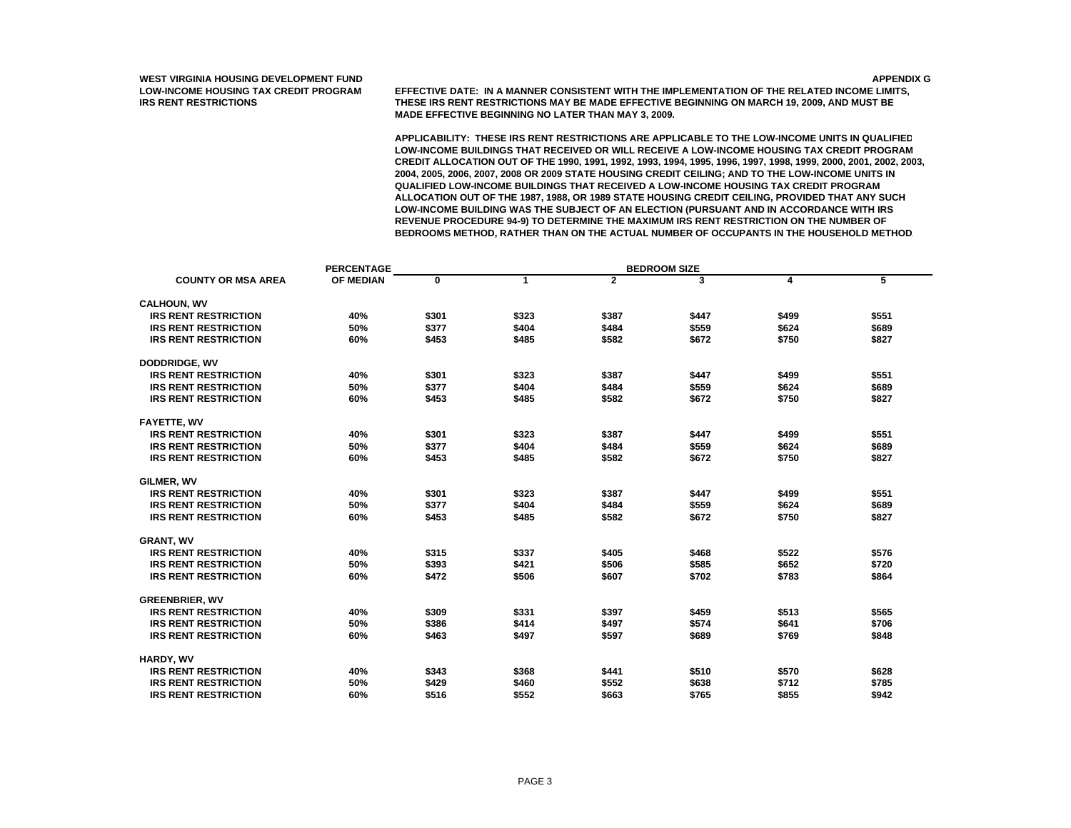**LOW-INCOME HOUSING TAX CREDIT PROGRAM EFFECTIVE DATE: IN A MANNER CONSISTENT WITH THE IMPLEMENTATION OF THE RELATED INCOME LIMITS, IRS RENT RESTRICTIONS THESE IRS RENT RESTRICTIONS MAY BE MADE EFFECTIVE BEGINNING ON MARCH 19, 2009, AND MUST BE MADE EFFECTIVE BEGINNING NO LATER THAN MAY 3, 2009.**

|                             | <b>PERCENTAGE</b> |       |       |                | <b>BEDROOM SIZE</b> |       |       |
|-----------------------------|-------------------|-------|-------|----------------|---------------------|-------|-------|
| <b>COUNTY OR MSA AREA</b>   | OF MEDIAN         | 0     | 1     | $\overline{2}$ | 3                   | 4     | 5     |
| <b>CALHOUN, WV</b>          |                   |       |       |                |                     |       |       |
| <b>IRS RENT RESTRICTION</b> | 40%               | \$301 | \$323 | \$387          | \$447               | \$499 | \$551 |
| <b>IRS RENT RESTRICTION</b> | 50%               | \$377 | \$404 | \$484          | \$559               | \$624 | \$689 |
| <b>IRS RENT RESTRICTION</b> | 60%               | \$453 | \$485 | \$582          | \$672               | \$750 | \$827 |
|                             |                   |       |       |                |                     |       |       |
| <b>DODDRIDGE, WV</b>        |                   |       |       |                |                     |       |       |
| <b>IRS RENT RESTRICTION</b> | 40%               | \$301 | \$323 | \$387          | \$447               | \$499 | \$551 |
| <b>IRS RENT RESTRICTION</b> | 50%               | \$377 | \$404 | \$484          | \$559               | \$624 | \$689 |
| <b>IRS RENT RESTRICTION</b> | 60%               | \$453 | \$485 | \$582          | \$672               | \$750 | \$827 |
|                             |                   |       |       |                |                     |       |       |
| <b>FAYETTE, WV</b>          |                   |       |       |                |                     |       |       |
| <b>IRS RENT RESTRICTION</b> | 40%               | \$301 | \$323 | \$387          | \$447               | \$499 | \$551 |
| <b>IRS RENT RESTRICTION</b> | 50%               | \$377 | \$404 | \$484          | \$559               | \$624 | \$689 |
| <b>IRS RENT RESTRICTION</b> | 60%               | \$453 | \$485 | \$582          | \$672               | \$750 | \$827 |
| GILMER, WV                  |                   |       |       |                |                     |       |       |
| <b>IRS RENT RESTRICTION</b> | 40%               | \$301 | \$323 | \$387          | \$447               | \$499 | \$551 |
| <b>IRS RENT RESTRICTION</b> | 50%               | \$377 | \$404 | \$484          | \$559               | \$624 | \$689 |
| <b>IRS RENT RESTRICTION</b> | 60%               | \$453 | \$485 | \$582          | \$672               | \$750 | \$827 |
|                             |                   |       |       |                |                     |       |       |
| <b>GRANT, WV</b>            |                   |       |       |                |                     |       |       |
| <b>IRS RENT RESTRICTION</b> | 40%               | \$315 | \$337 | \$405          | \$468               | \$522 | \$576 |
| <b>IRS RENT RESTRICTION</b> | 50%               | \$393 | \$421 | \$506          | \$585               | \$652 | \$720 |
| <b>IRS RENT RESTRICTION</b> | 60%               | \$472 | \$506 | \$607          | \$702               | \$783 | \$864 |
| <b>GREENBRIER, WV</b>       |                   |       |       |                |                     |       |       |
| <b>IRS RENT RESTRICTION</b> | 40%               | \$309 | \$331 | \$397          | \$459               | \$513 | \$565 |
| <b>IRS RENT RESTRICTION</b> | 50%               | \$386 | \$414 | \$497          | \$574               | \$641 | \$706 |
| <b>IRS RENT RESTRICTION</b> | 60%               | \$463 | \$497 | \$597          | \$689               | \$769 | \$848 |
|                             |                   |       |       |                |                     |       |       |
| HARDY, WV                   |                   |       |       |                |                     |       |       |
| <b>IRS RENT RESTRICTION</b> | 40%               | \$343 | \$368 | \$441          | \$510               | \$570 | \$628 |
| <b>IRS RENT RESTRICTION</b> | 50%               | \$429 | \$460 | \$552          | \$638               | \$712 | \$785 |
| <b>IRS RENT RESTRICTION</b> | 60%               | \$516 | \$552 | \$663          | \$765               | \$855 | \$942 |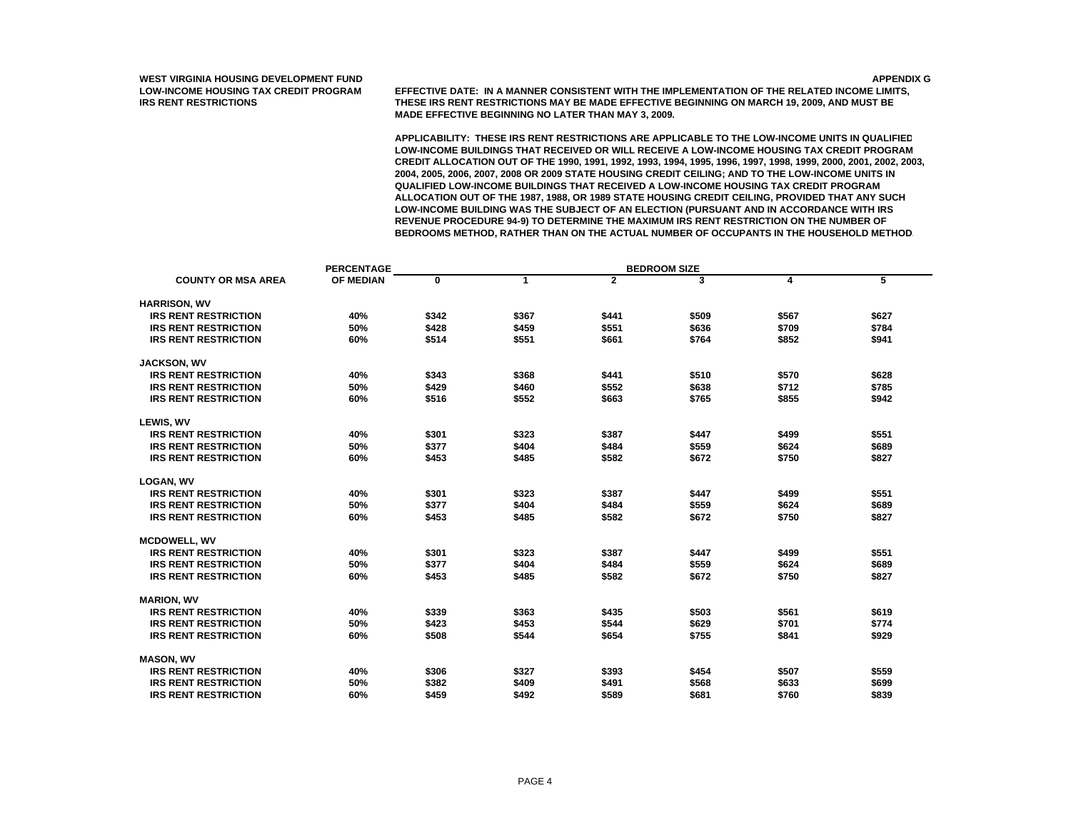**LOW-INCOME HOUSING TAX CREDIT PROGRAM EFFECTIVE DATE: IN A MANNER CONSISTENT WITH THE IMPLEMENTATION OF THE RELATED INCOME LIMITS, IRS RENT RESTRICTIONS THESE IRS RENT RESTRICTIONS MAY BE MADE EFFECTIVE BEGINNING ON MARCH 19, 2009, AND MUST BE MADE EFFECTIVE BEGINNING NO LATER THAN MAY 3, 2009.**

|                             | <b>PERCENTAGE</b> |       |       |                | <b>BEDROOM SIZE</b> |       |       |  |  |  |
|-----------------------------|-------------------|-------|-------|----------------|---------------------|-------|-------|--|--|--|
| <b>COUNTY OR MSA AREA</b>   | OF MEDIAN         | 0     | 1     | $\overline{2}$ | 3                   | 4     | 5     |  |  |  |
| <b>HARRISON, WV</b>         |                   |       |       |                |                     |       |       |  |  |  |
| <b>IRS RENT RESTRICTION</b> | 40%               | \$342 | \$367 | \$441          | \$509               | \$567 | \$627 |  |  |  |
| <b>IRS RENT RESTRICTION</b> | 50%               | \$428 | \$459 | \$551          | \$636               | \$709 | \$784 |  |  |  |
| <b>IRS RENT RESTRICTION</b> | 60%               | \$514 | \$551 | \$661          | \$764               | \$852 | \$941 |  |  |  |
|                             |                   |       |       |                |                     |       |       |  |  |  |
| <b>JACKSON, WV</b>          |                   |       |       |                |                     |       |       |  |  |  |
| <b>IRS RENT RESTRICTION</b> | 40%               | \$343 | \$368 | \$441          | \$510               | \$570 | \$628 |  |  |  |
| <b>IRS RENT RESTRICTION</b> | 50%               | \$429 | \$460 | \$552          | \$638               | \$712 | \$785 |  |  |  |
| <b>IRS RENT RESTRICTION</b> | 60%               | \$516 | \$552 | \$663          | \$765               | \$855 | \$942 |  |  |  |
| LEWIS, WV                   |                   |       |       |                |                     |       |       |  |  |  |
| <b>IRS RENT RESTRICTION</b> | 40%               | \$301 | \$323 | \$387          | \$447               | \$499 | \$551 |  |  |  |
| <b>IRS RENT RESTRICTION</b> | 50%               | \$377 | \$404 | \$484          | \$559               | \$624 | \$689 |  |  |  |
| <b>IRS RENT RESTRICTION</b> | 60%               | \$453 | \$485 | \$582          | \$672               | \$750 | \$827 |  |  |  |
| <b>LOGAN, WV</b>            |                   |       |       |                |                     |       |       |  |  |  |
| <b>IRS RENT RESTRICTION</b> | 40%               | \$301 | \$323 | \$387          | \$447               | \$499 | \$551 |  |  |  |
| <b>IRS RENT RESTRICTION</b> | 50%               | \$377 | \$404 | \$484          | \$559               | \$624 | \$689 |  |  |  |
| <b>IRS RENT RESTRICTION</b> | 60%               | \$453 | \$485 | \$582          | \$672               | \$750 | \$827 |  |  |  |
|                             |                   |       |       |                |                     |       |       |  |  |  |
| <b>MCDOWELL, WV</b>         |                   |       |       |                |                     |       |       |  |  |  |
| <b>IRS RENT RESTRICTION</b> | 40%               | \$301 | \$323 | \$387          | \$447               | \$499 | \$551 |  |  |  |
| <b>IRS RENT RESTRICTION</b> | 50%               | \$377 | \$404 | \$484          | \$559               | \$624 | \$689 |  |  |  |
| <b>IRS RENT RESTRICTION</b> | 60%               | \$453 | \$485 | \$582          | \$672               | \$750 | \$827 |  |  |  |
| <b>MARION, WV</b>           |                   |       |       |                |                     |       |       |  |  |  |
| <b>IRS RENT RESTRICTION</b> | 40%               | \$339 | \$363 | \$435          | \$503               | \$561 | \$619 |  |  |  |
| <b>IRS RENT RESTRICTION</b> | 50%               | \$423 | \$453 | \$544          | \$629               | \$701 | \$774 |  |  |  |
| <b>IRS RENT RESTRICTION</b> | 60%               | \$508 | \$544 | \$654          | \$755               | \$841 | \$929 |  |  |  |
|                             |                   |       |       |                |                     |       |       |  |  |  |
| <b>MASON, WV</b>            |                   |       |       |                |                     |       |       |  |  |  |
| <b>IRS RENT RESTRICTION</b> | 40%               | \$306 | \$327 | \$393          | \$454               | \$507 | \$559 |  |  |  |
| <b>IRS RENT RESTRICTION</b> | 50%               | \$382 | \$409 | \$491          | \$568               | \$633 | \$699 |  |  |  |
| <b>IRS RENT RESTRICTION</b> | 60%               | \$459 | \$492 | \$589          | \$681               | \$760 | \$839 |  |  |  |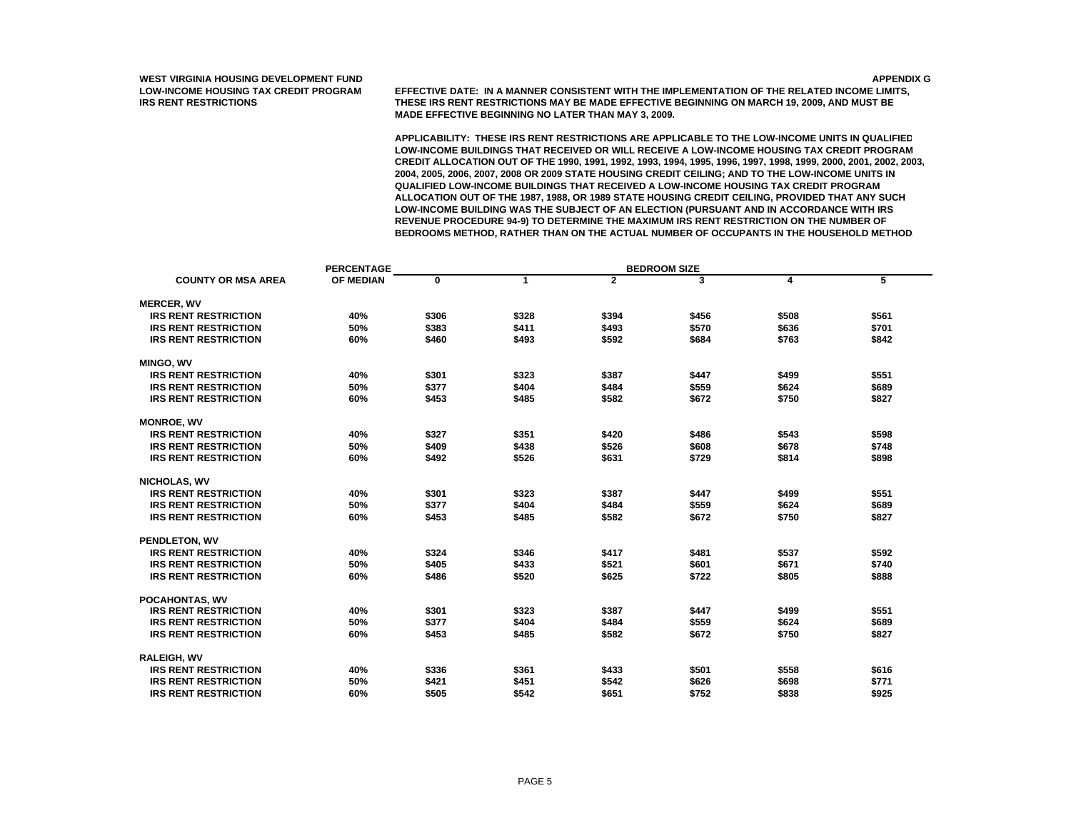**LOW-INCOME HOUSING TAX CREDIT PROGRAM EFFECTIVE DATE: IN A MANNER CONSISTENT WITH THE IMPLEMENTATION OF THE RELATED INCOME LIMITS, IRS RENT RESTRICTIONS THESE IRS RENT RESTRICTIONS MAY BE MADE EFFECTIVE BEGINNING ON MARCH 19, 2009, AND MUST BE MADE EFFECTIVE BEGINNING NO LATER THAN MAY 3, 2009.**

|                             | <b>PERCENTAGE</b> |       |              |                | <b>BEDROOM SIZE</b> |       |       |
|-----------------------------|-------------------|-------|--------------|----------------|---------------------|-------|-------|
| <b>COUNTY OR MSA AREA</b>   | OF MEDIAN         | 0     | $\mathbf{1}$ | $\overline{2}$ | 3                   | 4     | 5     |
| <b>MERCER, WV</b>           |                   |       |              |                |                     |       |       |
| <b>IRS RENT RESTRICTION</b> | 40%               | \$306 | \$328        | \$394          | \$456               | \$508 | \$561 |
| <b>IRS RENT RESTRICTION</b> | 50%               | \$383 | \$411        | \$493          | \$570               | \$636 | \$701 |
| <b>IRS RENT RESTRICTION</b> | 60%               | \$460 | \$493        | \$592          | \$684               | \$763 | \$842 |
|                             |                   |       |              |                |                     |       |       |
| <b>MINGO, WV</b>            |                   |       |              |                |                     |       |       |
| <b>IRS RENT RESTRICTION</b> | 40%               | \$301 | \$323        | \$387          | \$447               | \$499 | \$551 |
| <b>IRS RENT RESTRICTION</b> | 50%               | \$377 | \$404        | \$484          | \$559               | \$624 | \$689 |
| <b>IRS RENT RESTRICTION</b> | 60%               | \$453 | \$485        | \$582          | \$672               | \$750 | \$827 |
| <b>MONROE, WV</b>           |                   |       |              |                |                     |       |       |
| <b>IRS RENT RESTRICTION</b> | 40%               | \$327 | \$351        | \$420          | \$486               | \$543 | \$598 |
| <b>IRS RENT RESTRICTION</b> | 50%               | \$409 | \$438        | \$526          | \$608               | \$678 | \$748 |
| <b>IRS RENT RESTRICTION</b> | 60%               | \$492 | \$526        | \$631          | \$729               | \$814 | \$898 |
|                             |                   |       |              |                |                     |       |       |
| <b>NICHOLAS, WV</b>         |                   |       |              |                |                     |       |       |
| <b>IRS RENT RESTRICTION</b> | 40%               | \$301 | \$323        | \$387          | \$447               | \$499 | \$551 |
| <b>IRS RENT RESTRICTION</b> | 50%               | \$377 | \$404        | \$484          | \$559               | \$624 | \$689 |
| <b>IRS RENT RESTRICTION</b> | 60%               | \$453 | \$485        | \$582          | \$672               | \$750 | \$827 |
| PENDLETON, WV               |                   |       |              |                |                     |       |       |
| <b>IRS RENT RESTRICTION</b> | 40%               | \$324 | \$346        | \$417          | \$481               | \$537 | \$592 |
| <b>IRS RENT RESTRICTION</b> | 50%               | \$405 | \$433        | \$521          | \$601               | \$671 | \$740 |
| <b>IRS RENT RESTRICTION</b> | 60%               | \$486 | \$520        | \$625          | \$722               | \$805 | \$888 |
|                             |                   |       |              |                |                     |       |       |
| POCAHONTAS, WV              |                   |       |              |                |                     |       |       |
| <b>IRS RENT RESTRICTION</b> | 40%               | \$301 | \$323        | \$387          | \$447               | \$499 | \$551 |
| <b>IRS RENT RESTRICTION</b> | 50%               | \$377 | \$404        | \$484          | \$559               | \$624 | \$689 |
| <b>IRS RENT RESTRICTION</b> | 60%               | \$453 | \$485        | \$582          | \$672               | \$750 | \$827 |
| <b>RALEIGH, WV</b>          |                   |       |              |                |                     |       |       |
| <b>IRS RENT RESTRICTION</b> | 40%               | \$336 | \$361        | \$433          | \$501               | \$558 | \$616 |
| <b>IRS RENT RESTRICTION</b> | 50%               | \$421 | \$451        | \$542          | \$626               | \$698 | \$771 |
| <b>IRS RENT RESTRICTION</b> | 60%               | \$505 | \$542        | \$651          | \$752               | \$838 | \$925 |
|                             |                   |       |              |                |                     |       |       |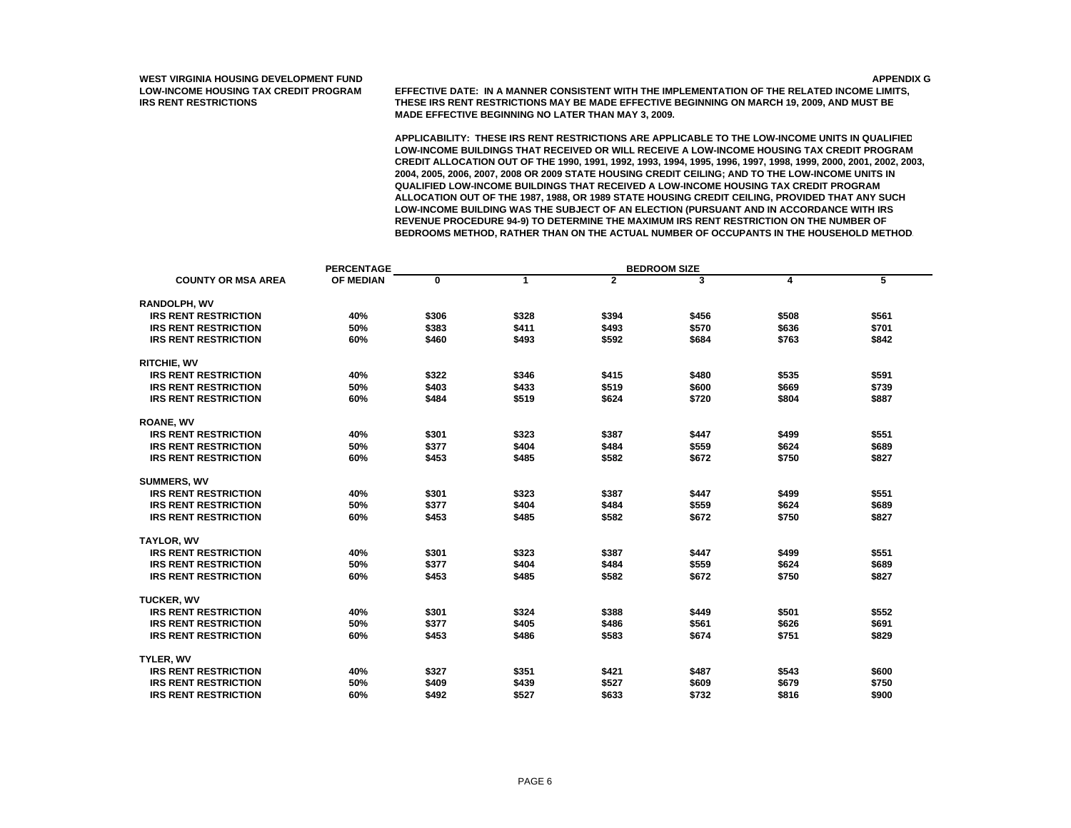**LOW-INCOME HOUSING TAX CREDIT PROGRAM EFFECTIVE DATE: IN A MANNER CONSISTENT WITH THE IMPLEMENTATION OF THE RELATED INCOME LIMITS, IRS RENT RESTRICTIONS THESE IRS RENT RESTRICTIONS MAY BE MADE EFFECTIVE BEGINNING ON MARCH 19, 2009, AND MUST BE MADE EFFECTIVE BEGINNING NO LATER THAN MAY 3, 2009.**

|                             | <b>PERCENTAGE</b> |       |       |                | <b>BEDROOM SIZE</b> |       |       |
|-----------------------------|-------------------|-------|-------|----------------|---------------------|-------|-------|
| <b>COUNTY OR MSA AREA</b>   | OF MEDIAN         | 0     | 1     | $\overline{2}$ | 3                   | 4     | 5     |
| <b>RANDOLPH, WV</b>         |                   |       |       |                |                     |       |       |
| <b>IRS RENT RESTRICTION</b> | 40%               | \$306 | \$328 | \$394          | \$456               | \$508 | \$561 |
| <b>IRS RENT RESTRICTION</b> | 50%               | \$383 | \$411 | \$493          | \$570               | \$636 | \$701 |
| <b>IRS RENT RESTRICTION</b> | 60%               | \$460 | \$493 | \$592          | \$684               | \$763 | \$842 |
|                             |                   |       |       |                |                     |       |       |
| <b>RITCHIE, WV</b>          |                   |       |       |                |                     |       |       |
| <b>IRS RENT RESTRICTION</b> | 40%               | \$322 | \$346 | \$415          | \$480               | \$535 | \$591 |
| <b>IRS RENT RESTRICTION</b> | 50%               | \$403 | \$433 | \$519          | \$600               | \$669 | \$739 |
| <b>IRS RENT RESTRICTION</b> | 60%               | \$484 | \$519 | \$624          | \$720               | \$804 | \$887 |
| <b>ROANE, WV</b>            |                   |       |       |                |                     |       |       |
| <b>IRS RENT RESTRICTION</b> | 40%               | \$301 | \$323 | \$387          | \$447               | \$499 | \$551 |
| <b>IRS RENT RESTRICTION</b> | 50%               | \$377 | \$404 | \$484          | \$559               | \$624 | \$689 |
| <b>IRS RENT RESTRICTION</b> | 60%               | \$453 | \$485 | \$582          | \$672               | \$750 | \$827 |
|                             |                   |       |       |                |                     |       |       |
| <b>SUMMERS, WV</b>          |                   |       |       |                |                     |       |       |
| <b>IRS RENT RESTRICTION</b> | 40%               | \$301 | \$323 | \$387          | \$447               | \$499 | \$551 |
| <b>IRS RENT RESTRICTION</b> | 50%               | \$377 | \$404 | \$484          | \$559               | \$624 | \$689 |
| <b>IRS RENT RESTRICTION</b> | 60%               | \$453 | \$485 | \$582          | \$672               | \$750 | \$827 |
|                             |                   |       |       |                |                     |       |       |
| <b>TAYLOR, WV</b>           |                   |       |       |                |                     |       |       |
| <b>IRS RENT RESTRICTION</b> | 40%               | \$301 | \$323 | \$387          | \$447               | \$499 | \$551 |
| <b>IRS RENT RESTRICTION</b> | 50%               | \$377 | \$404 | \$484          | \$559               | \$624 | \$689 |
| <b>IRS RENT RESTRICTION</b> | 60%               | \$453 | \$485 | \$582          | \$672               | \$750 | \$827 |
| <b>TUCKER, WV</b>           |                   |       |       |                |                     |       |       |
| <b>IRS RENT RESTRICTION</b> | 40%               | \$301 | \$324 | \$388          | \$449               | \$501 | \$552 |
| <b>IRS RENT RESTRICTION</b> | 50%               | \$377 | \$405 | \$486          | \$561               | \$626 | \$691 |
| <b>IRS RENT RESTRICTION</b> | 60%               | \$453 | \$486 | \$583          | \$674               | \$751 | \$829 |
|                             |                   |       |       |                |                     |       |       |
| TYLER, WV                   |                   |       |       |                |                     |       |       |
| <b>IRS RENT RESTRICTION</b> | 40%               | \$327 | \$351 | \$421          | \$487               | \$543 | \$600 |
| <b>IRS RENT RESTRICTION</b> | 50%               | \$409 | \$439 | \$527          | \$609               | \$679 | \$750 |
| <b>IRS RENT RESTRICTION</b> | 60%               | \$492 | \$527 | \$633          | \$732               | \$816 | \$900 |